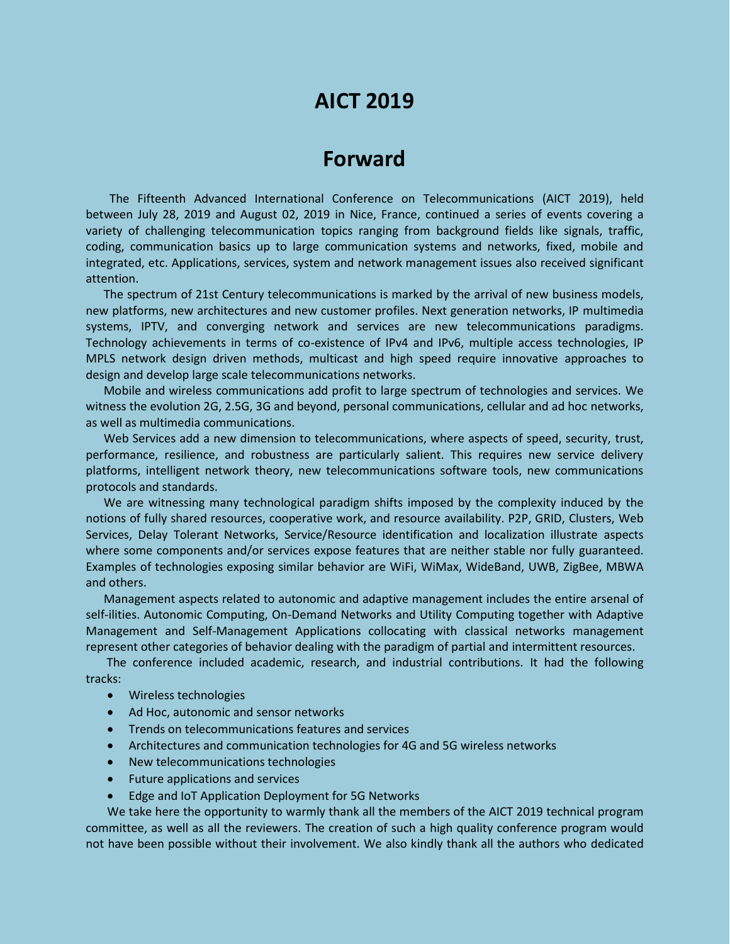# **AICT 2019**

# **Forward**

The Fifteenth Advanced International Conference on Telecommunications (AICT 2019), held between July 28, 2019 and August 02, 2019 in Nice, France, continued a series of events covering a variety of challenging telecommunication topics ranging from background fields like signals, traffic, coding, communication basics up to large communication systems and networks, fixed, mobile and integrated, etc. Applications, services, system and network management issues also received significant attention.

The spectrum of 21st Century telecommunications is marked by the arrival of new business models, new platforms, new architectures and new customer profiles. Next generation networks, IP multimedia systems, IPTV, and converging network and services are new telecommunications paradigms. Technology achievements in terms of co-existence of IPv4 and IPv6, multiple access technologies, IP MPLS network design driven methods, multicast and high speed require innovative approaches to design and develop large scale telecommunications networks.

Mobile and wireless communications add profit to large spectrum of technologies and services. We witness the evolution 2G, 2.5G, 3G and beyond, personal communications, cellular and ad hoc networks, as well as multimedia communications.

Web Services add a new dimension to telecommunications, where aspects of speed, security, trust, performance, resilience, and robustness are particularly salient. This requires new service delivery platforms, intelligent network theory, new telecommunications software tools, new communications protocols and standards.

We are witnessing many technological paradigm shifts imposed by the complexity induced by the notions of fully shared resources, cooperative work, and resource availability. P2P, GRID, Clusters, Web Services, Delay Tolerant Networks, Service/Resource identification and localization illustrate aspects where some components and/or services expose features that are neither stable nor fully guaranteed. Examples of technologies exposing similar behavior are WiFi, WiMax, WideBand, UWB, ZigBee, MBWA and others.

Management aspects related to autonomic and adaptive management includes the entire arsenal of self-ilities. Autonomic Computing, On-Demand Networks and Utility Computing together with Adaptive Management and Self-Management Applications collocating with classical networks management represent other categories of behavior dealing with the paradigm of partial and intermittent resources.

The conference included academic, research, and industrial contributions. It had the following tracks:

- Wireless technologies
- Ad Hoc, autonomic and sensor networks
- Trends on telecommunications features and services
- Architectures and communication technologies for 4G and 5G wireless networks
- New telecommunications technologies
- Future applications and services
- Edge and IoT Application Deployment for 5G Networks

We take here the opportunity to warmly thank all the members of the AICT 2019 technical program committee, as well as all the reviewers. The creation of such a high quality conference program would not have been possible without their involvement. We also kindly thank all the authors who dedicated